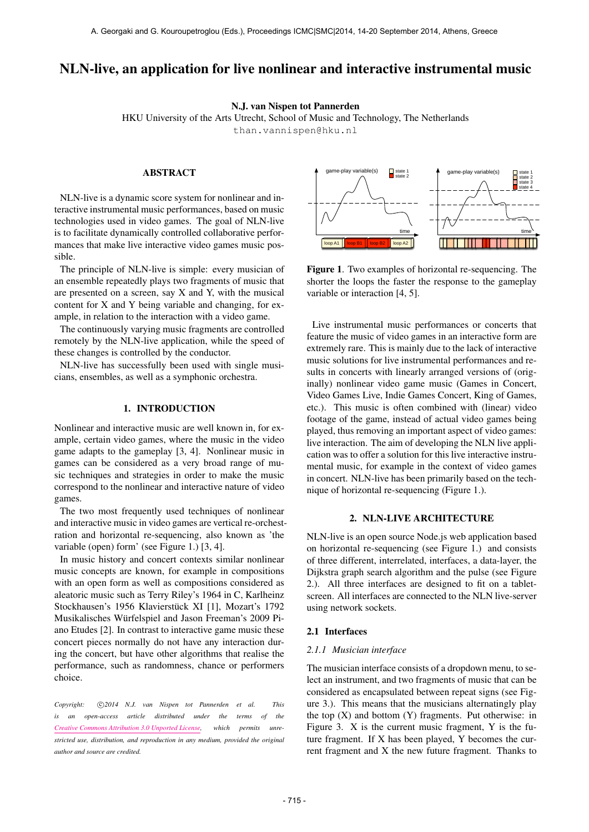# NLN-live, an application for live nonlinear and interactive instrumental music

N.J. van Nispen tot Pannerden

HKU University of the Arts Utrecht, School of Music and Technology, The Netherlands [than.vannispen@hku.nl](mailto:than.vannispen@hku.nl)

# ABSTRACT

NLN-live is a dynamic score system for nonlinear and interactive instrumental music performances, based on music technologies used in video games. The goal of NLN-live is to facilitate dynamically controlled collaborative performances that make live interactive video games music possible.

The principle of NLN-live is simple: every musician of an ensemble repeatedly plays two fragments of music that are presented on a screen, say X and Y, with the musical content for X and Y being variable and changing, for example, in relation to the interaction with a video game.

The continuously varying music fragments are controlled remotely by the NLN-live application, while the speed of these changes is controlled by the conductor.

NLN-live has successfully been used with single musicians, ensembles, as well as a symphonic orchestra.

# 1. INTRODUCTION

Nonlinear and interactive music are well known in, for example, certain video games, where the music in the video game adapts to the gameplay [3, 4]. Nonlinear music in games can be considered as a very broad range of music techniques and strategies in order to make the music correspond to the nonlinear and interactive nature of video games.

The two most frequently used techniques of nonlinear and interactive music in video games are vertical re-orchestration and horizontal re-sequencing, also known as 'the variable (open) form' (see Figure 1.) [3, 4].

In music history and concert contexts similar nonlinear music concepts are known, for example in compositions with an open form as well as compositions considered as aleatoric music such as Terry Riley's 1964 in C, Karlheinz Stockhausen's 1956 Klavierstück XI [1], Mozart's 1792 Musikalisches Würfelspiel and Jason Freeman's 2009 Piano Etudes [2]. In contrast to interactive game music these concert pieces normally do not have any interaction during the concert, but have other algorithms that realise the performance, such as randomness, chance or performers choice.

Copyright:  $\bigcirc$ 2014 N.J. van Nispen tot Pannerden et al. This *is an open-access article distributed under the terms of the [Creative Commons Attribution 3.0 Unported License,](http://creativecommons.org/licenses/by/3.0/) which permits unrestricted use, distribution, and reproduction in any medium, provided the original author and source are credited.*



Figure 1. Two examples of horizontal re-sequencing. The shorter the loops the faster the response to the gameplay variable or interaction [4, 5].

Live instrumental music performances or concerts that feature the music of video games in an interactive form are extremely rare. This is mainly due to the lack of interactive music solutions for live instrumental performances and results in concerts with linearly arranged versions of (originally) nonlinear video game music (Games in Concert, Video Games Live, Indie Games Concert, King of Games, etc.). This music is often combined with (linear) video footage of the game, instead of actual video games being played, thus removing an important aspect of video games: live interaction. The aim of developing the NLN live application was to offer a solution for this live interactive instrumental music, for example in the context of video games in concert. NLN-live has been primarily based on the technique of horizontal re-sequencing (Figure 1.).

#### 2. NLN-LIVE ARCHITECTURE

NLN-live is an open source Node.js web application based on horizontal re-sequencing (see Figure 1.) and consists of three different, interrelated, interfaces, a data-layer, the Dijkstra graph search algorithm and the pulse (see Figure 2.). All three interfaces are designed to fit on a tabletscreen. All interfaces are connected to the NLN live-server using network sockets.

#### 2.1 Interfaces

#### *2.1.1 Musician interface*

The musician interface consists of a dropdown menu, to select an instrument, and two fragments of music that can be considered as encapsulated between repeat signs (see Figure 3.). This means that the musicians alternatingly play the top  $(X)$  and bottom  $(Y)$  fragments. Put otherwise: in Figure 3. X is the current music fragment, Y is the future fragment. If X has been played, Y becomes the current fragment and X the new future fragment. Thanks to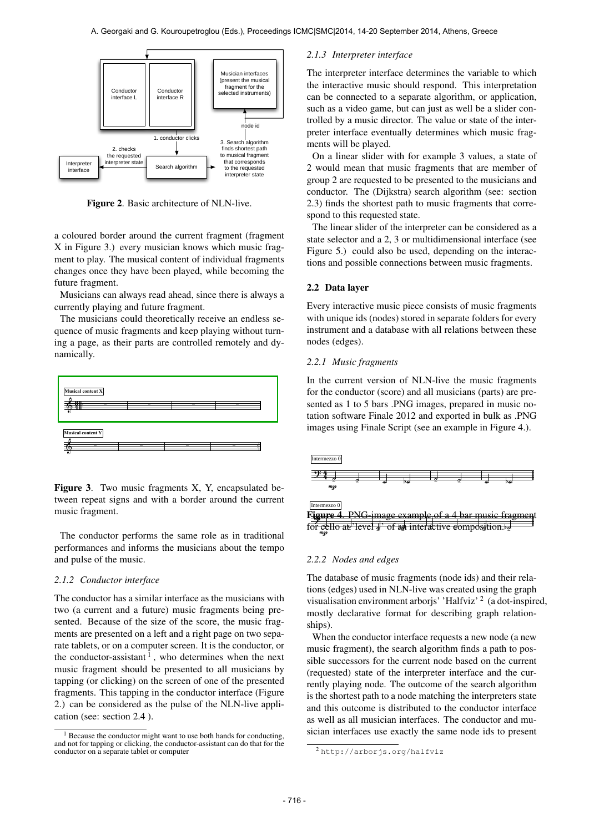

Figure 2. Basic architecture of NLN-live.

a coloured border around the current fragment (fragment X in Figure 3.) every musician knows which music fragment to play. The musical content of individual fragments changes once they have been played, while becoming the future fragment.

Musicians can always read ahead, since there is always a currently playing and future fragment.

The musicians could theoretically receive an endless sequence of music fragments and keep playing without turning a page, as their parts are controlled remotely and dynamically.



Figure 3. Two music fragments X, Y, encapsulated between repeat signs and with a border around the current music fragment.

The conductor performs the same role as in traditional performances and informs the musicians about the tempo and pulse of the music.

### *2.1.2 Conductor interface*

The conductor has a similar interface as the musicians with two (a current and a future) music fragments being presented. Because of the size of the score, the music fragments are presented on a left and a right page on two separate tablets, or on a computer screen. It is the conductor, or the conductor-assistant  $\frac{1}{1}$ , who determines when the next music fragment should be presented to all musicians by tapping (or clicking) on the screen of one of the presented fragments. This tapping in the conductor interface (Figure 2.) can be considered as the pulse of the NLN-live application (see: section 2.4 ).

#### *2.1.3 Interpreter interface*

The interpreter interface determines the variable to which the interactive music should respond. This interpretation can be connected to a separate algorithm, or application, such as a video game, but can just as well be a slider controlled by a music director. The value or state of the interpreter interface eventually determines which music fragments will be played.

On a linear slider with for example 3 values, a state of 2 would mean that music fragments that are member of group 2 are requested to be presented to the musicians and conductor. The (Dijkstra) search algorithm (see: section 2.3) finds the shortest path to music fragments that correspond to this requested state.

The linear slider of the interpreter can be considered as a state selector and a 2, 3 or multidimensional interface (see Figure 5.) could also be used, depending on the interactions and possible connections between music fragments.

# 2.2 Data layer

Every interactive music piece consists of music fragments with unique ids (nodes) stored in separate folders for every instrument and a database with all relations between these nodes (edges).

## *2.2.1 Music fragments*

In the current version of NLN-live the music fragments for the conductor (score) and all musicians (parts) are presented as 1 to 5 bars .PNG images, prepared in music notation software Finale 2012 and exported in bulk as .PNG images using Finale Script (see an example in Figure 4.).



# *2.2.2 Nodes and edges*

The database of music fragments (node ids) and their relations (edges) used in NLN-live was created using the graph visualisation environment arborjs' 'Halfviz'  $2 \text{ (a dot-inspired)}$ mostly declarative format for describing graph relationships).

When the conductor interface requests a new node (a new music fragment), the search algorithm finds a path to possible successors for the current node based on the current (requested) state of the interpreter interface and the currently playing node. The outcome of the search algorithm is the shortest path to a node matching the interpreters state and this outcome is distributed to the conductor interface as well as all musician interfaces. The conductor and musician interfaces use exactly the same node ids to present

<sup>&</sup>lt;sup>1</sup> Because the conductor might want to use both hands for conducting, and not for tapping or clicking, the conductor-assistant can do that for the conductor on a separate tablet or computer

<sup>2</sup> <http://arborjs.org/halfviz>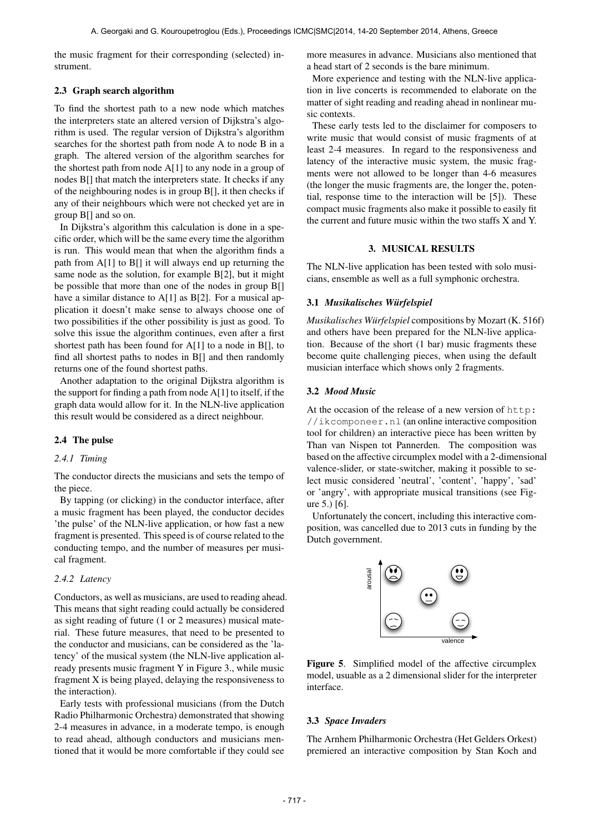the music fragment for their corresponding (selected) instrument.

# 2.3 Graph search algorithm

To find the shortest path to a new node which matches the interpreters state an altered version of Dijkstra's algorithm is used. The regular version of Dijkstra's algorithm searches for the shortest path from node A to node B in a graph. The altered version of the algorithm searches for the shortest path from node  $A[1]$  to any node in a group of nodes B[] that match the interpreters state. It checks if any of the neighbouring nodes is in group B[], it then checks if any of their neighbours which were not checked yet are in group B[] and so on.

In Dijkstra's algorithm this calculation is done in a specific order, which will be the same every time the algorithm is run. This would mean that when the algorithm finds a path from A[1] to B[] it will always end up returning the same node as the solution, for example B[2], but it might be possible that more than one of the nodes in group B[] have a similar distance to A[1] as B[2]. For a musical application it doesn't make sense to always choose one of two possibilities if the other possibility is just as good. To solve this issue the algorithm continues, even after a first shortest path has been found for A[1] to a node in B[], to find all shortest paths to nodes in B[] and then randomly returns one of the found shortest paths.

Another adaptation to the original Dijkstra algorithm is the support for finding a path from node  $A[1]$  to itself, if the graph data would allow for it. In the NLN-live application this result would be considered as a direct neighbour.

# 2.4 The pulse

# *2.4.1 Timing*

The conductor directs the musicians and sets the tempo of the piece.

By tapping (or clicking) in the conductor interface, after a music fragment has been played, the conductor decides 'the pulse' of the NLN-live application, or how fast a new fragment is presented. This speed is of course related to the conducting tempo, and the number of measures per musical fragment.

# *2.4.2 Latency*

Conductors, as well as musicians, are used to reading ahead. This means that sight reading could actually be considered as sight reading of future (1 or 2 measures) musical material. These future measures, that need to be presented to the conductor and musicians, can be considered as the 'latency' of the musical system (the NLN-live application already presents music fragment Y in Figure 3., while music fragment X is being played, delaying the responsiveness to the interaction).

Early tests with professional musicians (from the Dutch Radio Philharmonic Orchestra) demonstrated that showing 2-4 measures in advance, in a moderate tempo, is enough to read ahead, although conductors and musicians mentioned that it would be more comfortable if they could see more measures in advance. Musicians also mentioned that a head start of 2 seconds is the bare minimum.

More experience and testing with the NLN-live application in live concerts is recommended to elaborate on the matter of sight reading and reading ahead in nonlinear music contexts.

These early tests led to the disclaimer for composers to write music that would consist of music fragments of at least 2-4 measures. In regard to the responsiveness and latency of the interactive music system, the music fragments were not allowed to be longer than 4-6 measures (the longer the music fragments are, the longer the, potential, response time to the interaction will be [5]). These compact music fragments also make it possible to easily fit the current and future music within the two staffs X and Y.

## 3. MUSICAL RESULTS

The NLN-live application has been tested with solo musicians, ensemble as well as a full symphonic orchestra.

## 3.1 *Musikalisches Wurfelspiel ¨*

*Musikalisches Würfelspiel* compositions by Mozart (K. 516f) and others have been prepared for the NLN-live application. Because of the short (1 bar) music fragments these become quite challenging pieces, when using the default musician interface which shows only 2 fragments.

# 3.2 *Mood Music*

At the occasion of the release of a new version of [http:](http://ikcomponeer.nl) [//ikcomponeer.nl](http://ikcomponeer.nl) (an online interactive composition tool for children) an interactive piece has been written by Than van Nispen tot Pannerden. The composition was based on the affective circumplex model with a 2-dimensional valence-slider, or state-switcher, making it possible to select music considered 'neutral', 'content', 'happy', 'sad' or 'angry', with appropriate musical transitions (see Figure 5.) [6].

Unfortunately the concert, including this interactive composition, was cancelled due to 2013 cuts in funding by the Dutch government.



Figure 5. Simplified model of the affective circumplex model, usuable as a 2 dimensional slider for the interpreter interface.

#### 3.3 *Space Invaders*

The Arnhem Philharmonic Orchestra (Het Gelders Orkest) premiered an interactive composition by Stan Koch and